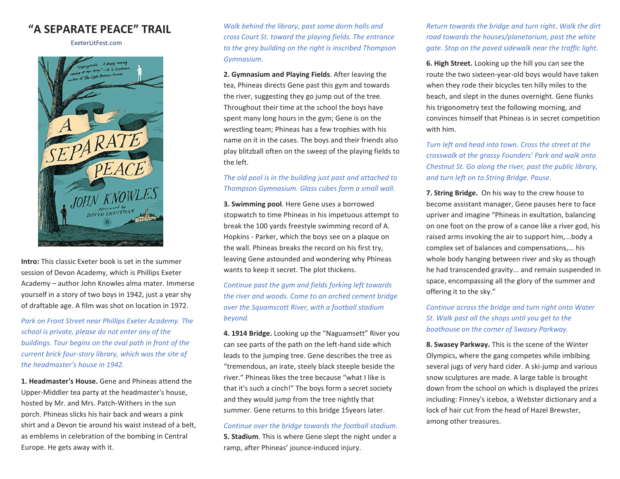# **"A SEPARATE PEACE" TRAIL**

ExeterLitFest.com



**Intro:** This classic Exeter book is set in the summer session of Devon Academy, which is Phillips Exeter Academy – author John Knowles alma mater. Immerse yourself in a story of two boys in 1942, just a year shy of draftable age. A film was shot on location in 1972.

*Park on Front Street near Phillips Exeter Academy. The school is private, please do not enter any of the buildings. Tour begins on the oval path in front of the current brick four-story library, which was the site of the headmaster's house in 1942.*

**1. Headmaster's House.** Gene and Phineas attend the Upper-Middler tea party at the headmaster's house, hosted by Mr. and Mrs. Patch-Withers in the sun porch. Phineas slicks his hair back and wears a pink shirt and a Devon tie around his waist instead of a belt, as emblems in celebration of the bombing in Central Europe. He gets away with it.

*Walk behind the library, past some dorm halls and cross Court St. toward the playing fields. The entrance to the grey building on the right is inscribed Thompson Gymnasium.*

**2. Gymnasium and Playing Fields**. After leaving the tea, Phineas directs Gene past this gym and towards the river, suggesting they go jump out of the tree. Throughout their time at the school the boys have spent many long hours in the gym; Gene is on the wrestling team; Phineas has a few trophies with his name on it in the cases. The boys and their friends also play blitzball often on the sweep of the playing fields to the left.

#### *The old pool is in the building just past and attached to Thompson Gymnasium. Glass cubes form a small wall.*

**3. Swimming pool**. Here Gene uses a borrowed stopwatch to time Phineas in his impetuous attempt to break the 100 yards freestyle swimming record of A. Hopkins - Parker, which the boys see on a plaque on the wall. Phineas breaks the record on his first try, leaving Gene astounded and wondering why Phineas wants to keep it secret. The plot thickens.

*Continue past the gym and fields forking left towards the river and woods. Come to an arched cement bridge over the Squamscott River, with a football stadium beyond.*

**4. 1914 Bridge.** Looking up the "Naguamsett" River you can see parts of the path on the left-hand side which leads to the jumping tree. Gene describes the tree as "tremendous, an irate, steely black steeple beside the river." Phineas likes the tree because "what I like is that it's such a cinch!" The boys form a secret society and they would jump from the tree nightly that summer. Gene returns to this bridge 15years later.

*Continue over the bridge towards the football stadium.* **5. Stadium**. This is where Gene slept the night under a ramp, after Phineas' jounce-induced injury.

*Return towards the bridge and turn right*. *Walk the dirt road towards the houses/planetarium, past the white gate. Stop on the paved sidewalk near the traffic light.*

**6. High Street.** Looking up the hill you can see the route the two sixteen-year-old boys would have taken when they rode their bicycles ten hilly miles to the beach, and slept in the dunes overnight. Gene flunks his trigonometry test the following morning, and convinces himself that Phineas is in secret competition with him.

*Turn left and head into town. Cross the street at the crosswalk at the grassy Founders' Park and walk onto Chestnut St. Go along the river, past the public library, and turn left on to String Bridge. Pause.*

**7. String Bridge.** On his way to the crew house to become assistant manager, Gene pauses here to face upriver and imagine "Phineas in exultation, balancing on one foot on the prow of a canoe like a river god, his raised arms invoking the air to support him,...body a complex set of balances and compensations,... his whole body hanging between river and sky as though he had transcended gravity... and remain suspended in space, encompassing all the glory of the summer and offering it to the sky."

*Continue across the bridge and turn right onto Water St. Walk past all the shops until you get to the boathouse on the corner of Swasey Parkway.*

**8. Swasey Parkway.** This is the scene of the Winter Olympics, where the gang competes while imbibing several jugs of very hard cider. A ski-jump and various snow sculptures are made. A large table is brought down from the school on which is displayed the prizes including: Finney's icebox, a Webster dictionary and a lock of hair cut from the head of Hazel Brewster, among other treasures.